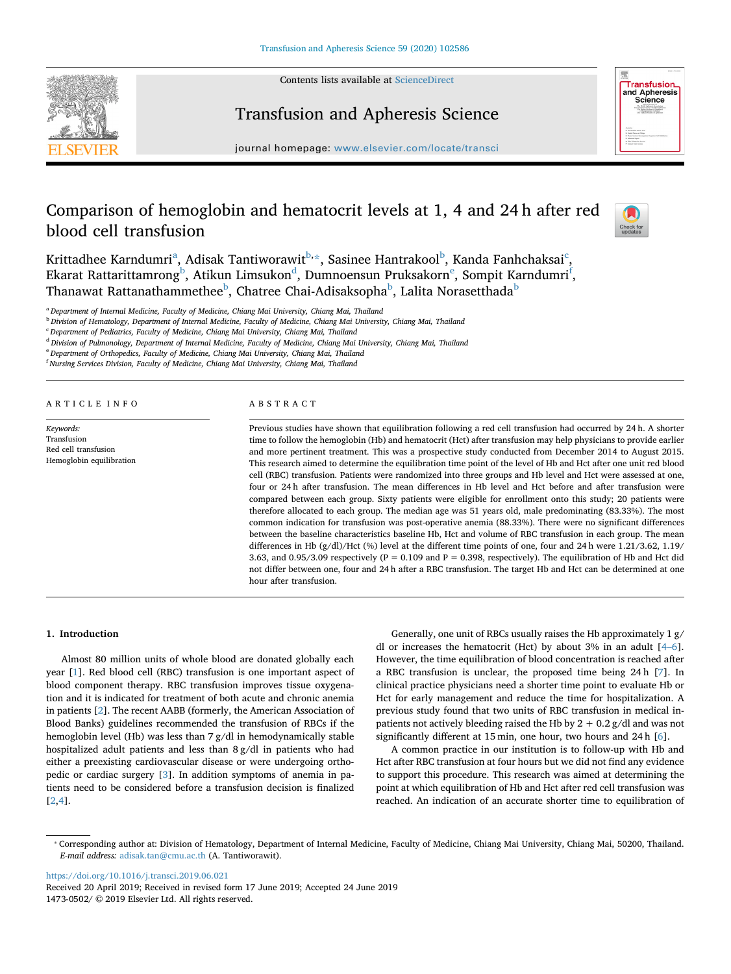Contents lists available at [ScienceDirect](http://www.sciencedirect.com/science/journal/14730502)





## Transfusion and Apheresis Science

journal homepage: [www.elsevier.com/locate/transci](https://www.elsevier.com/locate/transci)

# Comparison of hemoglobin and hematocrit levels at 1, 4 and 24 h after red blood cell transfusion



Kritt[a](#page-0-0)dhee Karndumri $^{\rm a}$ , Adisak Tantiworawit $^{\rm b, \ast}$  $^{\rm b, \ast}$  $^{\rm b, \ast}$ , Sasinee Hantrakool $^{\rm b}$  $^{\rm b}$  $^{\rm b}$ , Kanda Fanhchaksai $^{\rm c}$ , Ekarat Rattarittamrong<sup>[b](#page-0-1)</sup>, Atikun Limsukon<sup>[d](#page-0-4)</sup>, Dumno[e](#page-0-5)nsun Pruksakorn<sup>e</sup>, Sompit Karndumri<sup>[f](#page-0-6)</sup>, Thanawat Rattanathammethee $^{\rm b}$  $^{\rm b}$  $^{\rm b}$ , Chatree Chai-Adisaksopha $^{\rm b}$ , Lalita Norasetthada $^{\rm b}$ 

<span id="page-0-0"></span><sup>a</sup> *Department of Internal Medicine, Faculty of Medicine, Chiang Mai University, Chiang Mai, Thailand*

<span id="page-0-1"></span><sup>b</sup> *Division of Hematology, Department of Internal Medicine, Faculty of Medicine, Chiang Mai University, Chiang Mai, Thailand*

<span id="page-0-3"></span><sup>c</sup> *Department of Pediatrics, Faculty of Medicine, Chiang Mai University, Chiang Mai, Thailand*

<span id="page-0-4"></span><sup>d</sup> *Division of Pulmonology, Department of Internal Medicine, Faculty of Medicine, Chiang Mai University, Chiang Mai, Thailand*

<span id="page-0-5"></span><sup>e</sup> *Department of Orthopedics, Faculty of Medicine, Chiang Mai University, Chiang Mai, Thailand*

<span id="page-0-6"></span>f *Nursing Services Division, Faculty of Medicine, Chiang Mai University, Chiang Mai, Thailand*

ARTICLE INFO

*Keywords:* Transfusion Red cell transfusion Hemoglobin equilibration

## ABSTRACT

Previous studies have shown that equilibration following a red cell transfusion had occurred by 24 h. A shorter time to follow the hemoglobin (Hb) and hematocrit (Hct) after transfusion may help physicians to provide earlier and more pertinent treatment. This was a prospective study conducted from December 2014 to August 2015. This research aimed to determine the equilibration time point of the level of Hb and Hct after one unit red blood cell (RBC) transfusion. Patients were randomized into three groups and Hb level and Hct were assessed at one, four or 24 h after transfusion. The mean differences in Hb level and Hct before and after transfusion were compared between each group. Sixty patients were eligible for enrollment onto this study; 20 patients were therefore allocated to each group. The median age was 51 years old, male predominating (83.33%). The most common indication for transfusion was post-operative anemia (88.33%). There were no significant differences between the baseline characteristics baseline Hb, Hct and volume of RBC transfusion in each group. The mean differences in Hb (g/dl)/Hct (%) level at the different time points of one, four and 24 h were 1.21/3.62, 1.19/ 3.63, and 0.95/3.09 respectively (P = 0.109 and P = 0.398, respectively). The equilibration of Hb and Hct did not differ between one, four and 24 h after a RBC transfusion. The target Hb and Hct can be determined at one hour after transfusion.

## **1. Introduction**

Almost 80 million units of whole blood are donated globally each year [\[1\]](#page-2-0). Red blood cell (RBC) transfusion is one important aspect of blood component therapy. RBC transfusion improves tissue oxygenation and it is indicated for treatment of both acute and chronic anemia in patients [[2](#page-2-1)]. The recent AABB (formerly, the American Association of Blood Banks) guidelines recommended the transfusion of RBCs if the hemoglobin level (Hb) was less than 7 g/dl in hemodynamically stable hospitalized adult patients and less than 8 g/dl in patients who had either a preexisting cardiovascular disease or were undergoing orthopedic or cardiac surgery [\[3](#page-3-0)]. In addition symptoms of anemia in patients need to be considered before a transfusion decision is finalized [[2](#page-2-1),[4](#page-3-1)].

Generally, one unit of RBCs usually raises the Hb approximately 1 g/ dl or increases the hematocrit (Hct) by about 3% in an adult [\[4–6](#page-3-1)]. However, the time equilibration of blood concentration is reached after a RBC transfusion is unclear, the proposed time being 24 h [\[7\]](#page-3-2). In clinical practice physicians need a shorter time point to evaluate Hb or Hct for early management and reduce the time for hospitalization. A previous study found that two units of RBC transfusion in medical inpatients not actively bleeding raised the Hb by  $2 + 0.2$  g/dl and was not significantly different at 15 min, one hour, two hours and 24 h [\[6\]](#page-3-3).

A common practice in our institution is to follow-up with Hb and Hct after RBC transfusion at four hours but we did not find any evidence to support this procedure. This research was aimed at determining the point at which equilibration of Hb and Hct after red cell transfusion was reached. An indication of an accurate shorter time to equilibration of

<https://doi.org/10.1016/j.transci.2019.06.021>

<span id="page-0-2"></span><sup>⁎</sup> Corresponding author at: Division of Hematology, Department of Internal Medicine, Faculty of Medicine, Chiang Mai University, Chiang Mai, 50200, Thailand. *E-mail address:* [adisak.tan@cmu.ac.th](mailto:adisak.tan@cmu.ac.th) (A. Tantiworawit).

Received 20 April 2019; Received in revised form 17 June 2019; Accepted 24 June 2019 1473-0502/ © 2019 Elsevier Ltd. All rights reserved.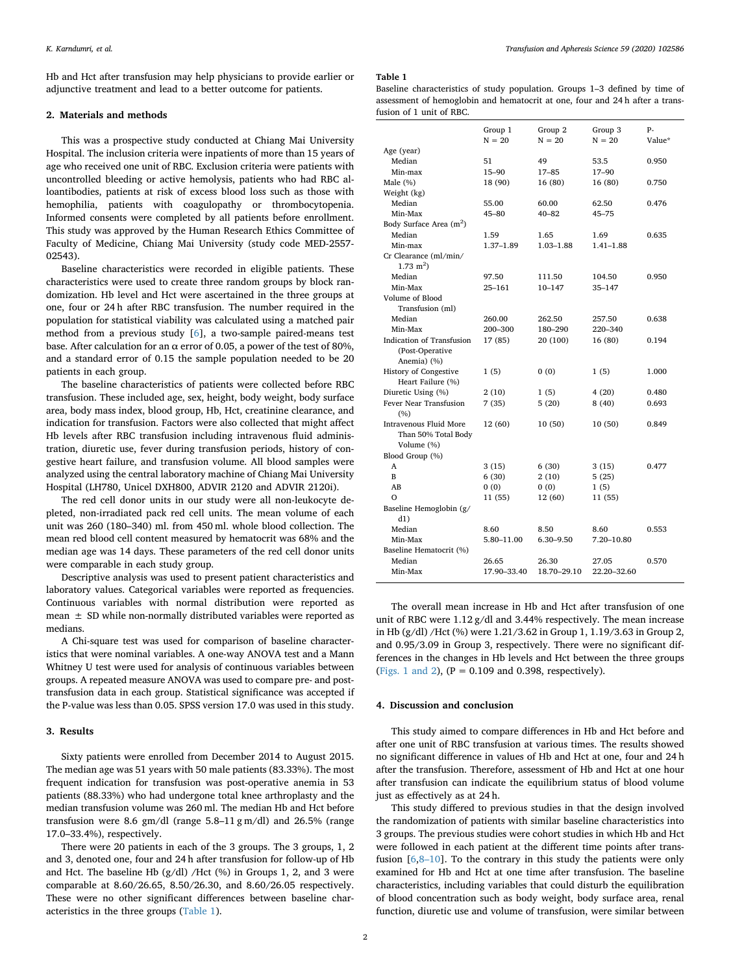Hb and Hct after transfusion may help physicians to provide earlier or adjunctive treatment and lead to a better outcome for patients.

## **2. Materials and methods**

This was a prospective study conducted at Chiang Mai University Hospital. The inclusion criteria were inpatients of more than 15 years of age who received one unit of RBC. Exclusion criteria were patients with uncontrolled bleeding or active hemolysis, patients who had RBC alloantibodies, patients at risk of excess blood loss such as those with hemophilia, patients with coagulopathy or thrombocytopenia. Informed consents were completed by all patients before enrollment. This study was approved by the Human Research Ethics Committee of Faculty of Medicine, Chiang Mai University (study code MED-2557- 02543).

Baseline characteristics were recorded in eligible patients. These characteristics were used to create three random groups by block randomization. Hb level and Hct were ascertained in the three groups at one, four or 24 h after RBC transfusion. The number required in the population for statistical viability was calculated using a matched pair method from a previous study [[6](#page-3-3)], a two-sample paired-means test base. After calculation for an  $\alpha$  error of 0.05, a power of the test of 80%, and a standard error of 0.15 the sample population needed to be 20 patients in each group.

The baseline characteristics of patients were collected before RBC transfusion. These included age, sex, height, body weight, body surface area, body mass index, blood group, Hb, Hct, creatinine clearance, and indication for transfusion. Factors were also collected that might affect Hb levels after RBC transfusion including intravenous fluid administration, diuretic use, fever during transfusion periods, history of congestive heart failure, and transfusion volume. All blood samples were analyzed using the central laboratory machine of Chiang Mai University Hospital (LH780, Unicel DXH800, ADVIR 2120 and ADVIR 2120i).

The red cell donor units in our study were all non-leukocyte depleted, non-irradiated pack red cell units. The mean volume of each unit was 260 (180–340) ml. from 450 ml. whole blood collection. The mean red blood cell content measured by hematocrit was 68% and the median age was 14 days. These parameters of the red cell donor units were comparable in each study group.

Descriptive analysis was used to present patient characteristics and laboratory values. Categorical variables were reported as frequencies. Continuous variables with normal distribution were reported as mean ± SD while non-normally distributed variables were reported as medians.

A Chi-square test was used for comparison of baseline characteristics that were nominal variables. A one-way ANOVA test and a Mann Whitney U test were used for analysis of continuous variables between groups. A repeated measure ANOVA was used to compare pre- and posttransfusion data in each group. Statistical significance was accepted if the P-value was less than 0.05. SPSS version 17.0 was used in this study.

## **3. Results**

Sixty patients were enrolled from December 2014 to August 2015. The median age was 51 years with 50 male patients (83.33%). The most frequent indication for transfusion was post-operative anemia in 53 patients (88.33%) who had undergone total knee arthroplasty and the median transfusion volume was 260 ml. The median Hb and Hct before transfusion were 8.6 gm/dl (range 5.8–11 g m/dl) and 26.5% (range 17.0–33.4%), respectively.

There were 20 patients in each of the 3 groups. The 3 groups, 1, 2 and 3, denoted one, four and 24 h after transfusion for follow-up of Hb and Hct. The baseline Hb (g/dl) /Hct (%) in Groups 1, 2, and 3 were comparable at 8.60/26.65, 8.50/26.30, and 8.60/26.05 respectively. These were no other significant differences between baseline characteristics in the three groups [\(Table 1\)](#page-1-0).

#### <span id="page-1-0"></span>**Table 1**

Baseline characteristics of study population. Groups 1–3 defined by time of assessment of hemoglobin and hematocrit at one, four and 24 h after a transfusion of 1 unit of RBC.

|                                                             | Group 1<br>$N = 20$ | Group 2<br>$N = 20$ | Group 3<br>$N = 20$ | p.<br>Value* |
|-------------------------------------------------------------|---------------------|---------------------|---------------------|--------------|
| Age (year)                                                  |                     |                     |                     |              |
| Median                                                      | 51                  | 49                  | 53.5                | 0.950        |
| Min-max                                                     | $15 - 90$           | $17 - 85$           | $17 - 90$           |              |
| Male $(\%)$                                                 | 18 (90)             | 16 (80)             | 16 (80)             | 0.750        |
| Weight (kg)                                                 |                     |                     |                     |              |
| Median                                                      | 55.00               | 60.00               | 62.50               | 0.476        |
| Min-Max                                                     | $45 - 80$           | $40 - 82$           | $45 - 75$           |              |
| Body Surface Area (m <sup>2</sup> )                         |                     |                     |                     |              |
| Median                                                      | 1.59                | 1.65                | 1.69                | 0.635        |
| Min-max                                                     | 1.37-1.89           | 1.03-1.88           | $1.41 - 1.88$       |              |
| Cr Clearance (ml/min/<br>$1.73 \text{ m}^2$                 |                     |                     |                     |              |
| Median                                                      | 97.50               | 111.50              | 104.50              | 0.950        |
| Min-Max                                                     | 25–161              | 10-147              | 35–147              |              |
| Volume of Blood                                             |                     |                     |                     |              |
| Transfusion (ml)                                            |                     |                     |                     |              |
| Median                                                      | 260.00              | 262.50              | 257.50              | 0.638        |
| Min-Max                                                     | 200-300             | 180-290             | 220-340             |              |
| Indication of Transfusion<br>(Post-Operative<br>Anemia) (%) | 17 (85)             | 20 (100)            | 16 (80)             | 0.194        |
| History of Congestive<br>Heart Failure (%)                  | 1(5)                | 0(0)                | 1 (5)               | 1.000        |
| Diuretic Using (%)                                          | 2(10)               | 1(5)                | 4(20)               | 0.480        |
| Fever Near Transfusion<br>(%)                               | 7(35)               | 5(20)               | 8(40)               | 0.693        |
| Intravenous Fluid More                                      | 12 (60)             | 10 (50)             | 10 (50)             | 0.849        |
| Than 50% Total Body<br>Volume (%)                           |                     |                     |                     |              |
| Blood Group (%)                                             |                     |                     |                     |              |
| A                                                           | 3(15)               | 6 (30)              | 3(15)               | 0.477        |
| B                                                           | 6(30)               | 2(10)               | 5(25)               |              |
| AB                                                          | 0(0)                | 0(0)                | 1(5)                |              |
| $\Omega$                                                    | 11 (55)             | 12 (60)             | 11 (55)             |              |
| Baseline Hemoglobin (g/<br>d1)                              |                     |                     |                     |              |
| Median                                                      | 8.60                | 8.50                | 8.60                | 0.553        |
| Min-Max                                                     | 5.80–11.00          | 6.30-9.50           | 7.20–10.80          |              |
| Baseline Hematocrit (%)                                     |                     |                     |                     |              |
| Median                                                      | 26.65               | 26.30               | 27.05               | 0.570        |
| Min-Max                                                     | 17.90-33.40         | 18.70-29.10         | 22.20-32.60         |              |

The overall mean increase in Hb and Hct after transfusion of one unit of RBC were 1.12 g/dl and 3.44% respectively. The mean increase in Hb (g/dl) /Hct (%) were 1.21/3.62 in Group 1, 1.19/3.63 in Group 2, and 0.95/3.09 in Group 3, respectively. There were no significant differences in the changes in Hb levels and Hct between the three groups ([Figs. 1 and 2\)](#page-2-2),  $(P = 0.109$  and 0.398, respectively).

### **4. Discussion and conclusion**

This study aimed to compare differences in Hb and Hct before and after one unit of RBC transfusion at various times. The results showed no significant difference in values of Hb and Hct at one, four and 24 h after the transfusion. Therefore, assessment of Hb and Hct at one hour after transfusion can indicate the equilibrium status of blood volume just as effectively as at 24 h.

This study differed to previous studies in that the design involved the randomization of patients with similar baseline characteristics into 3 groups. The previous studies were cohort studies in which Hb and Hct were followed in each patient at the different time points after transfusion  $[6,8-10]$  $[6,8-10]$  $[6,8-10]$ . To the contrary in this study the patients were only examined for Hb and Hct at one time after transfusion. The baseline characteristics, including variables that could disturb the equilibration of blood concentration such as body weight, body surface area, renal function, diuretic use and volume of transfusion, were similar between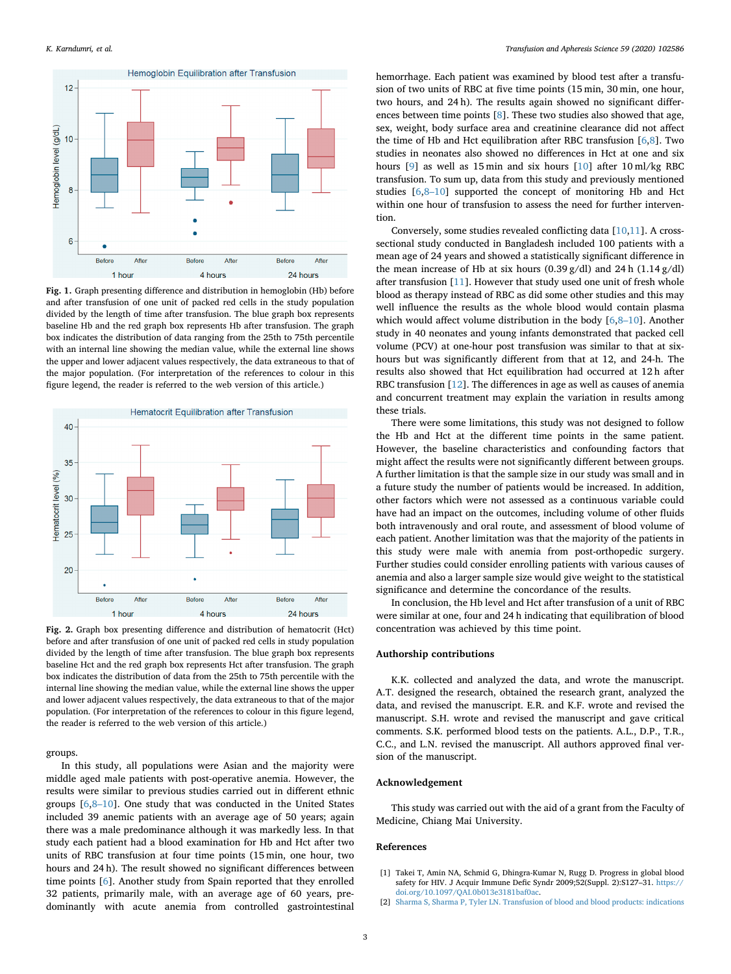<span id="page-2-2"></span>

**Fig. 1.** Graph presenting difference and distribution in hemoglobin (Hb) before and after transfusion of one unit of packed red cells in the study population divided by the length of time after transfusion. The blue graph box represents baseline Hb and the red graph box represents Hb after transfusion. The graph box indicates the distribution of data ranging from the 25th to 75th percentile with an internal line showing the median value, while the external line shows the upper and lower adjacent values respectively, the data extraneous to that of the major population. (For interpretation of the references to colour in this figure legend, the reader is referred to the web version of this article.)



**Fig. 2.** Graph box presenting difference and distribution of hematocrit (Hct) before and after transfusion of one unit of packed red cells in study population divided by the length of time after transfusion. The blue graph box represents baseline Hct and the red graph box represents Hct after transfusion. The graph box indicates the distribution of data from the 25th to 75th percentile with the internal line showing the median value, while the external line shows the upper and lower adjacent values respectively, the data extraneous to that of the major population. (For interpretation of the references to colour in this figure legend, the reader is referred to the web version of this article.)

groups.

In this study, all populations were Asian and the majority were middle aged male patients with post-operative anemia. However, the results were similar to previous studies carried out in different ethnic groups [\[6,](#page-3-3)[8–10](#page-3-4)]. One study that was conducted in the United States included 39 anemic patients with an average age of 50 years; again there was a male predominance although it was markedly less. In that study each patient had a blood examination for Hb and Hct after two units of RBC transfusion at four time points (15 min, one hour, two hours and 24 h). The result showed no significant differences between time points [[6](#page-3-3)]. Another study from Spain reported that they enrolled 32 patients, primarily male, with an average age of 60 years, predominantly with acute anemia from controlled gastrointestinal hemorrhage. Each patient was examined by blood test after a transfusion of two units of RBC at five time points (15 min, 30 min, one hour, two hours, and 24 h). The results again showed no significant differences between time points [\[8\]](#page-3-4). These two studies also showed that age, sex, weight, body surface area and creatinine clearance did not affect the time of Hb and Hct equilibration after RBC transfusion [[6](#page-3-3),[8\]](#page-3-4). Two studies in neonates also showed no differences in Hct at one and six hours [\[9\]](#page-3-5) as well as 15 min and six hours [[10\]](#page-3-6) after 10 ml/kg RBC transfusion. To sum up, data from this study and previously mentioned studies [[6](#page-3-3),[8–10\]](#page-3-4) supported the concept of monitoring Hb and Hct within one hour of transfusion to assess the need for further intervention.

Conversely, some studies revealed conflicting data [\[10](#page-3-6)[,11](#page-3-7)]. A crosssectional study conducted in Bangladesh included 100 patients with a mean age of 24 years and showed a statistically significant difference in the mean increase of Hb at six hours  $(0.39 \text{ g}/\text{dl})$  and 24 h  $(1.14 \text{ g}/\text{dl})$ after transfusion [[11\]](#page-3-7). However that study used one unit of fresh whole blood as therapy instead of RBC as did some other studies and this may well influence the results as the whole blood would contain plasma which would affect volume distribution in the body [[6](#page-3-3)[,8–10\]](#page-3-4). Another study in 40 neonates and young infants demonstrated that packed cell volume (PCV) at one-hour post transfusion was similar to that at sixhours but was significantly different from that at 12, and 24-h. The results also showed that Hct equilibration had occurred at 12 h after RBC transfusion [\[12](#page-3-8)]. The differences in age as well as causes of anemia and concurrent treatment may explain the variation in results among these trials.

There were some limitations, this study was not designed to follow the Hb and Hct at the different time points in the same patient. However, the baseline characteristics and confounding factors that might affect the results were not significantly different between groups. A further limitation is that the sample size in our study was small and in a future study the number of patients would be increased. In addition, other factors which were not assessed as a continuous variable could have had an impact on the outcomes, including volume of other fluids both intravenously and oral route, and assessment of blood volume of each patient. Another limitation was that the majority of the patients in this study were male with anemia from post-orthopedic surgery. Further studies could consider enrolling patients with various causes of anemia and also a larger sample size would give weight to the statistical significance and determine the concordance of the results.

In conclusion, the Hb level and Hct after transfusion of a unit of RBC were similar at one, four and 24 h indicating that equilibration of blood concentration was achieved by this time point.

## **Authorship contributions**

K.K. collected and analyzed the data, and wrote the manuscript. A.T. designed the research, obtained the research grant, analyzed the data, and revised the manuscript. E.R. and K.F. wrote and revised the manuscript. S.H. wrote and revised the manuscript and gave critical comments. S.K. performed blood tests on the patients. A.L., D.P., T.R., C.C., and L.N. revised the manuscript. All authors approved final version of the manuscript.

## **Acknowledgement**

This study was carried out with the aid of a grant from the Faculty of Medicine, Chiang Mai University.

#### **References**

- <span id="page-2-0"></span>[1] Takei T, Amin NA, Schmid G, Dhingra-Kumar N, Rugg D. Progress in global blood safety for HIV. J Acquir Immune Defic Syndr 2009;52(Suppl. 2):S127-31. [https://](https://doi.org/10.1097/QAI.0b013e3181baf0ac) [doi.org/10.1097/QAI.0b013e3181baf0ac.](https://doi.org/10.1097/QAI.0b013e3181baf0ac)
- <span id="page-2-1"></span>[2] [Sharma S, Sharma P, Tyler LN. Transfusion of blood and blood products: indications](http://refhub.elsevier.com/S1473-0502(19)30117-X/sbref0010)